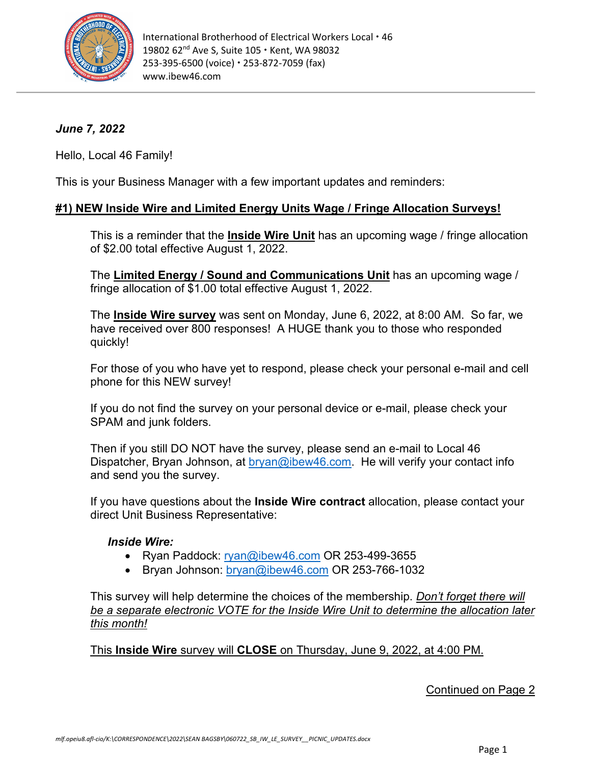

# *June 7, 2022*

Hello, Local 46 Family!

This is your Business Manager with a few important updates and reminders:

## **#1) NEW Inside Wire and Limited Energy Units Wage / Fringe Allocation Surveys!**

This is a reminder that the **Inside Wire Unit** has an upcoming wage / fringe allocation of \$2.00 total effective August 1, 2022.

The **Limited Energy / Sound and Communications Unit** has an upcoming wage / fringe allocation of \$1.00 total effective August 1, 2022.

The **Inside Wire survey** was sent on Monday, June 6, 2022, at 8:00 AM. So far, we have received over 800 responses! A HUGE thank you to those who responded quickly!

For those of you who have yet to respond, please check your personal e-mail and cell phone for this NEW survey!

If you do not find the survey on your personal device or e-mail, please check your SPAM and junk folders.

Then if you still DO NOT have the survey, please send an e-mail to Local 46 Dispatcher, Bryan Johnson, at [bryan@ibew46.com.](mailto:bryan@ibew46.com) He will verify your contact info and send you the survey.

If you have questions about the **Inside Wire contract** allocation, please contact your direct Unit Business Representative:

### *Inside Wire:*

- Ryan Paddock: [ryan@ibew46.com](mailto:ryan@ibew46.com) OR 253-499-3655
- Bryan Johnson: [bryan@ibew46.com](mailto:bryan@ibew46.com) OR 253-766-1032

This survey will help determine the choices of the membership. *Don't forget there will be a separate electronic VOTE for the Inside Wire Unit to determine the allocation later this month!* 

This **Inside Wire** survey will **CLOSE** on Thursday, June 9, 2022, at 4:00 PM.

Continued on Page 2